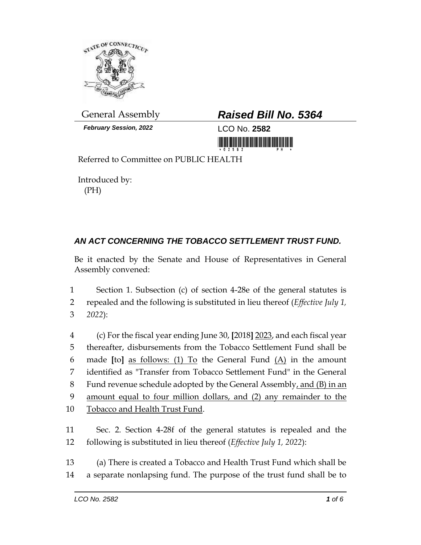

*February Session, 2022* LCO No. **2582**

## General Assembly *Raised Bill No. 5364*

<u> Timba ka kasa sa mga kasang ng mga kasang ng mga kasang ng mga kasang ng mga kasang ng mga kasang ng mga kasang ng mga kasang ng mga kasang ng mga kasang ng mga kasang ng mga kasang ng mga kasang ng mga kasang ng mga kas</u>

Referred to Committee on PUBLIC HEALTH

Introduced by: (PH)

## *AN ACT CONCERNING THE TOBACCO SETTLEMENT TRUST FUND.*

Be it enacted by the Senate and House of Representatives in General Assembly convened:

1 Section 1. Subsection (c) of section 4-28e of the general statutes is 2 repealed and the following is substituted in lieu thereof (*Effective July 1,*  3 *2022*):

 (c) For the fiscal year ending June 30, **[**2018**]** 2023, and each fiscal year thereafter, disbursements from the Tobacco Settlement Fund shall be made **[**to**]** as follows: (1) To the General Fund (A) in the amount identified as "Transfer from Tobacco Settlement Fund" in the General Fund revenue schedule adopted by the General Assembly, and (B) in an amount equal to four million dollars, and (2) any remainder to the Tobacco and Health Trust Fund.

11 Sec. 2. Section 4-28f of the general statutes is repealed and the 12 following is substituted in lieu thereof (*Effective July 1, 2022*):

13 (a) There is created a Tobacco and Health Trust Fund which shall be 14 a separate nonlapsing fund. The purpose of the trust fund shall be to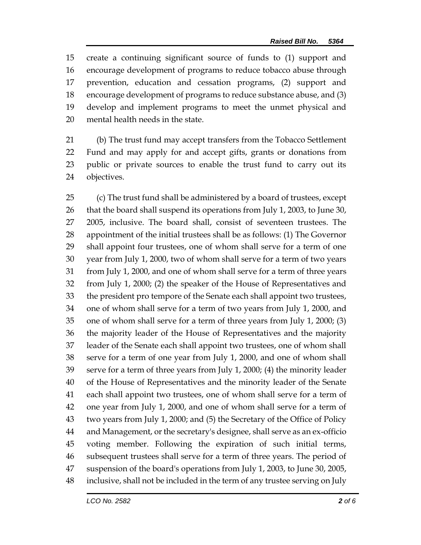create a continuing significant source of funds to (1) support and encourage development of programs to reduce tobacco abuse through prevention, education and cessation programs, (2) support and encourage development of programs to reduce substance abuse, and (3) develop and implement programs to meet the unmet physical and mental health needs in the state.

 (b) The trust fund may accept transfers from the Tobacco Settlement Fund and may apply for and accept gifts, grants or donations from public or private sources to enable the trust fund to carry out its objectives.

 (c) The trust fund shall be administered by a board of trustees, except that the board shall suspend its operations from July 1, 2003, to June 30, 2005, inclusive. The board shall, consist of seventeen trustees. The appointment of the initial trustees shall be as follows: (1) The Governor shall appoint four trustees, one of whom shall serve for a term of one year from July 1, 2000, two of whom shall serve for a term of two years from July 1, 2000, and one of whom shall serve for a term of three years from July 1, 2000; (2) the speaker of the House of Representatives and the president pro tempore of the Senate each shall appoint two trustees, one of whom shall serve for a term of two years from July 1, 2000, and one of whom shall serve for a term of three years from July 1, 2000; (3) the majority leader of the House of Representatives and the majority leader of the Senate each shall appoint two trustees, one of whom shall serve for a term of one year from July 1, 2000, and one of whom shall serve for a term of three years from July 1, 2000; (4) the minority leader of the House of Representatives and the minority leader of the Senate each shall appoint two trustees, one of whom shall serve for a term of one year from July 1, 2000, and one of whom shall serve for a term of two years from July 1, 2000; and (5) the Secretary of the Office of Policy and Management, or the secretary's designee, shall serve as an ex-officio voting member. Following the expiration of such initial terms, subsequent trustees shall serve for a term of three years. The period of suspension of the board's operations from July 1, 2003, to June 30, 2005, inclusive, shall not be included in the term of any trustee serving on July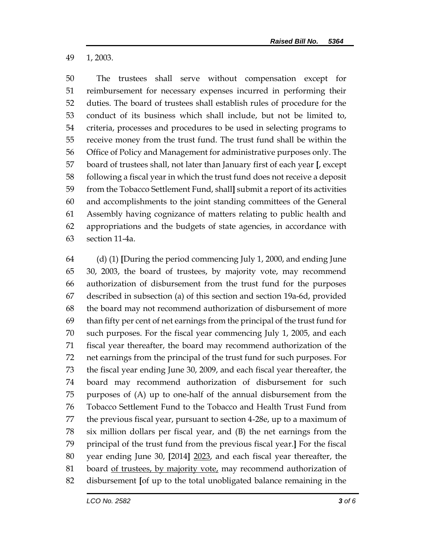1, 2003.

 The trustees shall serve without compensation except for reimbursement for necessary expenses incurred in performing their duties. The board of trustees shall establish rules of procedure for the conduct of its business which shall include, but not be limited to, criteria, processes and procedures to be used in selecting programs to receive money from the trust fund. The trust fund shall be within the Office of Policy and Management for administrative purposes only. The board of trustees shall, not later than January first of each year **[**, except following a fiscal year in which the trust fund does not receive a deposit from the Tobacco Settlement Fund, shall**]** submit a report of its activities and accomplishments to the joint standing committees of the General Assembly having cognizance of matters relating to public health and appropriations and the budgets of state agencies, in accordance with section 11-4a.

 (d) (1) **[**During the period commencing July 1, 2000, and ending June 30, 2003, the board of trustees, by majority vote, may recommend authorization of disbursement from the trust fund for the purposes described in subsection (a) of this section and section 19a-6d, provided the board may not recommend authorization of disbursement of more than fifty per cent of net earnings from the principal of the trust fund for such purposes. For the fiscal year commencing July 1, 2005, and each fiscal year thereafter, the board may recommend authorization of the net earnings from the principal of the trust fund for such purposes. For the fiscal year ending June 30, 2009, and each fiscal year thereafter, the board may recommend authorization of disbursement for such purposes of (A) up to one-half of the annual disbursement from the Tobacco Settlement Fund to the Tobacco and Health Trust Fund from the previous fiscal year, pursuant to section 4-28e, up to a maximum of six million dollars per fiscal year, and (B) the net earnings from the principal of the trust fund from the previous fiscal year.**]** For the fiscal year ending June 30, **[**2014**]** 2023, and each fiscal year thereafter, the 81 board of trustees, by majority vote, may recommend authorization of disbursement **[**of up to the total unobligated balance remaining in the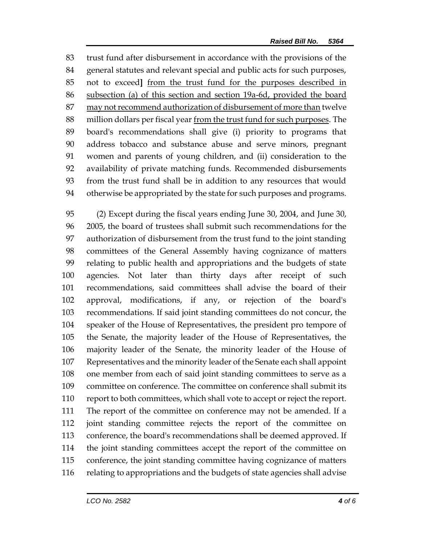trust fund after disbursement in accordance with the provisions of the general statutes and relevant special and public acts for such purposes, not to exceed**]** from the trust fund for the purposes described in subsection (a) of this section and section 19a-6d, provided the board may not recommend authorization of disbursement of more than twelve million dollars per fiscal year from the trust fund for such purposes. The board's recommendations shall give (i) priority to programs that address tobacco and substance abuse and serve minors, pregnant women and parents of young children, and (ii) consideration to the availability of private matching funds. Recommended disbursements from the trust fund shall be in addition to any resources that would otherwise be appropriated by the state for such purposes and programs.

 (2) Except during the fiscal years ending June 30, 2004, and June 30, 2005, the board of trustees shall submit such recommendations for the authorization of disbursement from the trust fund to the joint standing committees of the General Assembly having cognizance of matters relating to public health and appropriations and the budgets of state agencies. Not later than thirty days after receipt of such recommendations, said committees shall advise the board of their approval, modifications, if any, or rejection of the board's recommendations. If said joint standing committees do not concur, the speaker of the House of Representatives, the president pro tempore of the Senate, the majority leader of the House of Representatives, the majority leader of the Senate, the minority leader of the House of Representatives and the minority leader of the Senate each shall appoint one member from each of said joint standing committees to serve as a committee on conference. The committee on conference shall submit its report to both committees, which shall vote to accept or reject the report. The report of the committee on conference may not be amended. If a joint standing committee rejects the report of the committee on conference, the board's recommendations shall be deemed approved. If the joint standing committees accept the report of the committee on conference, the joint standing committee having cognizance of matters relating to appropriations and the budgets of state agencies shall advise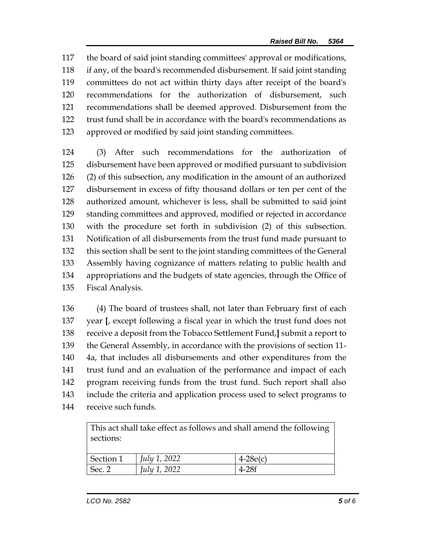the board of said joint standing committees' approval or modifications, if any, of the board's recommended disbursement. If said joint standing committees do not act within thirty days after receipt of the board's recommendations for the authorization of disbursement, such recommendations shall be deemed approved. Disbursement from the trust fund shall be in accordance with the board's recommendations as approved or modified by said joint standing committees.

 (3) After such recommendations for the authorization of disbursement have been approved or modified pursuant to subdivision (2) of this subsection, any modification in the amount of an authorized disbursement in excess of fifty thousand dollars or ten per cent of the authorized amount, whichever is less, shall be submitted to said joint standing committees and approved, modified or rejected in accordance with the procedure set forth in subdivision (2) of this subsection. Notification of all disbursements from the trust fund made pursuant to this section shall be sent to the joint standing committees of the General Assembly having cognizance of matters relating to public health and appropriations and the budgets of state agencies, through the Office of Fiscal Analysis.

 (4) The board of trustees shall, not later than February first of each year **[**, except following a fiscal year in which the trust fund does not receive a deposit from the Tobacco Settlement Fund,**]** submit a report to the General Assembly, in accordance with the provisions of section 11- 4a, that includes all disbursements and other expenditures from the trust fund and an evaluation of the performance and impact of each program receiving funds from the trust fund. Such report shall also include the criteria and application process used to select programs to receive such funds.

| This act shall take effect as follows and shall amend the following<br>sections: |                     |            |
|----------------------------------------------------------------------------------|---------------------|------------|
| Section 1                                                                        | <i>July 1, 2022</i> | $4-28e(c)$ |
| Sec. 2                                                                           | July 1, 2022        | $4-28f$    |